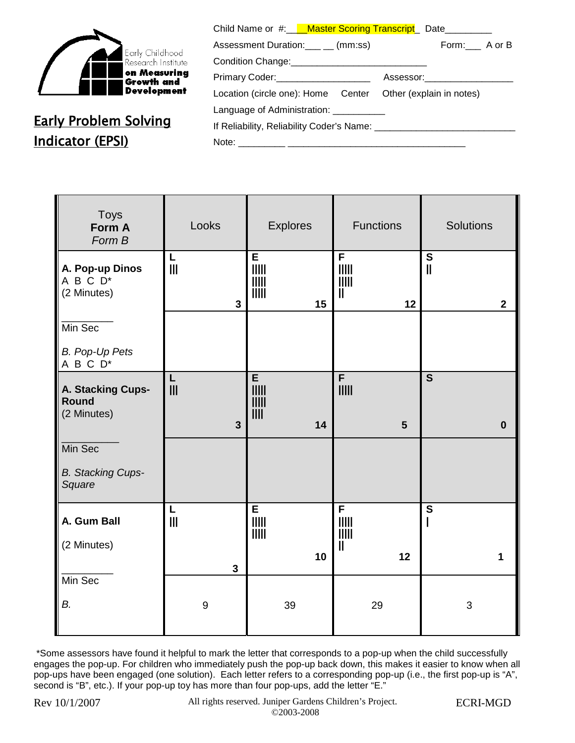

## Early Problem Solving Indicator (EPSI)

| Child Name or #: Naster Scoring Transcript Date             |                                |  |
|-------------------------------------------------------------|--------------------------------|--|
| Assessment Duration:____ __ (mm:ss)                         | Form: A or B                   |  |
|                                                             |                                |  |
| Primary Coder: _____________________                        | Assessor:_____________________ |  |
| Location (circle one): Home Center Other (explain in notes) |                                |  |
| Language of Administration: ___________                     |                                |  |
|                                                             |                                |  |
|                                                             |                                |  |
|                                                             |                                |  |

| <b>Toys</b><br>Form A<br>Form B                        | Looks                                 | <b>Explores</b>                                                     | <b>Functions</b>                                                       | <b>Solutions</b>                                        |
|--------------------------------------------------------|---------------------------------------|---------------------------------------------------------------------|------------------------------------------------------------------------|---------------------------------------------------------|
| A. Pop-up Dinos<br>A B C D <sup>*</sup><br>(2 Minutes) | L<br>$\mathbf{III}$<br>$\mathbf{3}$   | E<br>$\parallel \parallel \parallel \parallel$<br>$\parallel$<br>15 | $\overline{F}$<br>$\parallel \parallel \parallel \parallel$<br>Ш<br>12 | $\overline{\mathbf{s}}$<br>$\mathbf{I}$<br>$\mathbf{2}$ |
| Min Sec                                                |                                       |                                                                     |                                                                        |                                                         |
| <b>B. Pop-Up Pets</b><br>A B C D <sup>*</sup>          |                                       |                                                                     |                                                                        |                                                         |
| A. Stacking Cups-<br><b>Round</b><br>(2 Minutes)       | Г<br>$\mathbf{III}$<br>$\overline{3}$ | E<br>$\mathsf{III}$<br>$\mathsf{III}$<br>III<br>14                  | $\overline{F}$<br>$5\phantom{1}$                                       | $\overline{\mathbf{s}}$<br>$\bf{0}$                     |
| Min Sec                                                |                                       |                                                                     |                                                                        |                                                         |
| <b>B.</b> Stacking Cups-<br>Square                     |                                       |                                                                     |                                                                        |                                                         |
| A. Gum Ball                                            | L<br>$\mathbb{I}$                     | E                                                                   | F                                                                      | ${\bf S}$                                               |
| (2 Minutes)                                            |                                       | <b>iiiii</b><br>10                                                  | İİİİİ<br>$\mathsf{I}$<br>12                                            | 1                                                       |
| Min Sec                                                | $\mathbf{3}$                          |                                                                     |                                                                        |                                                         |
| В.                                                     | 9                                     | 39                                                                  | 29                                                                     | 3                                                       |

\*Some assessors have found it helpful to mark the letter that corresponds to a pop-up when the child successfully engages the pop-up. For children who immediately push the pop-up back down, this makes it easier to know when all pop-ups have been engaged (one solution). Each letter refers to a corresponding pop-up (i.e., the first pop-up is "A", second is "B", etc.). If your pop-up toy has more than four pop-ups, add the letter "E."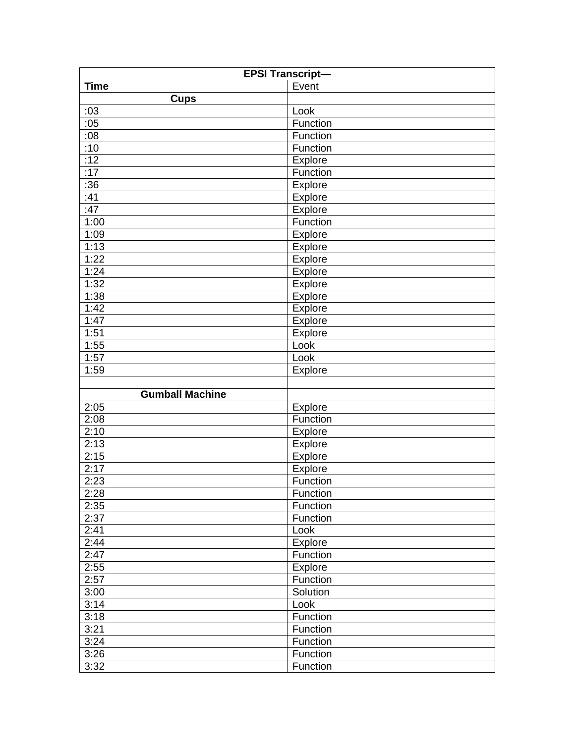| <b>EPSI Transcript-</b> |          |  |  |
|-------------------------|----------|--|--|
| <b>Time</b>             | Event    |  |  |
| <b>Cups</b>             |          |  |  |
| :03                     | Look     |  |  |
| :05                     | Function |  |  |
| :08                     | Function |  |  |
| :10                     | Function |  |  |
| :12                     | Explore  |  |  |
| :17                     | Function |  |  |
| :36                     | Explore  |  |  |
| :41                     | Explore  |  |  |
| :47                     | Explore  |  |  |
| 1:00                    | Function |  |  |
| 1:09                    | Explore  |  |  |
| 1:13                    | Explore  |  |  |
| 1:22                    | Explore  |  |  |
| 1:24                    | Explore  |  |  |
| 1:32                    | Explore  |  |  |
| 1:38                    | Explore  |  |  |
| 1:42                    | Explore  |  |  |
| 1:47                    | Explore  |  |  |
| 1:51                    | Explore  |  |  |
| 1:55                    | Look     |  |  |
| 1:57                    | Look     |  |  |
| 1:59                    | Explore  |  |  |
|                         |          |  |  |
| <b>Gumball Machine</b>  |          |  |  |
| 2:05                    | Explore  |  |  |
| 2:08                    | Function |  |  |
| 2:10                    | Explore  |  |  |
| 2:13                    | Explore  |  |  |
| 2:15                    | Explore  |  |  |
| 2:17                    | Explore  |  |  |
| 2:23                    | Function |  |  |
| 2:28                    | Function |  |  |
| 2:35                    | Function |  |  |
| 2:37                    | Function |  |  |
| 2:41                    | Look     |  |  |
| 2:44                    | Explore  |  |  |
| 2:47                    | Function |  |  |
| 2:55                    | Explore  |  |  |
| 2:57                    | Function |  |  |
| 3:00                    | Solution |  |  |
| 3:14                    | Look     |  |  |
| 3:18                    | Function |  |  |
| 3:21                    | Function |  |  |
| 3:24                    | Function |  |  |
| 3:26                    | Function |  |  |
| 3:32                    | Function |  |  |